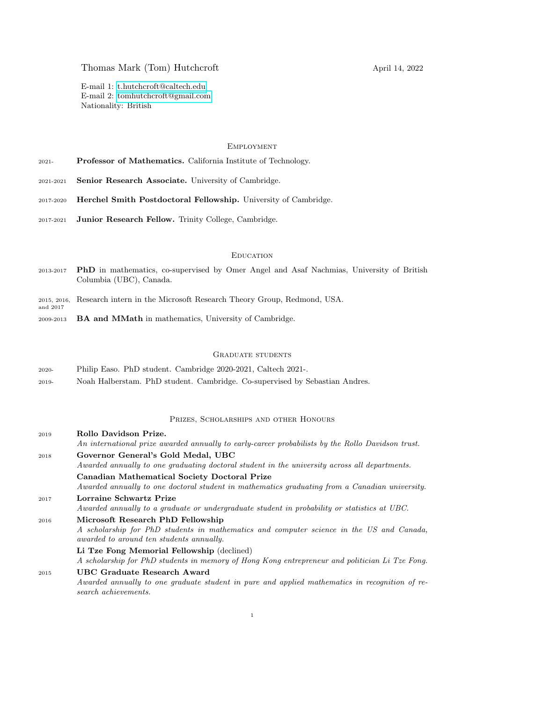# Thomas Mark (Tom) Hutchcroft April 14, 2022

E-mail 1: [t.hutchcroft@caltech.edu](mailto:t.hutchcroft@caltech.edu) E-mail 2: [tomhutchcroft@gmail.com](mailto:tomhutchcroft@gmail.com) Nationality: British

## **EMPLOYMENT**

| $2021-$ |  | Professor of Mathematics. California Institute of Technology. |  |  |  |
|---------|--|---------------------------------------------------------------|--|--|--|
|---------|--|---------------------------------------------------------------|--|--|--|

- 2021-2021 Senior Research Associate. University of Cambridge.
- 2017-2020 Herchel Smith Postdoctoral Fellowship. University of Cambridge.
- 2017-2021 Junior Research Fellow. Trinity College, Cambridge.

## **EDUCATION**

- 2013-2017 PhD in mathematics, co-supervised by Omer Angel and Asaf Nachmias, University of British Columbia (UBC), Canada.
- 2015, 2016, Research intern in the Microsoft Research Theory Group, Redmond, USA.
- 2009-2013 BA and MMath in mathematics, University of Cambridge.

and 2017

## Graduate students

- 2020- Philip Easo. PhD student. Cambridge 2020-2021, Caltech 2021-.
- 2019- Noah Halberstam. PhD student. Cambridge. Co-supervised by Sebastian Andres.

## Prizes, Scholarships and other Honours

<sup>2019</sup> Rollo Davidson Prize. An international prize awarded annually to early-career probabilists by the Rollo Davidson trust. <sup>2018</sup> Governor General's Gold Medal, UBC Awarded annually to one graduating doctoral student in the university across all departments. Canadian Mathematical Society Doctoral Prize Awarded annually to one doctoral student in mathematics graduating from a Canadian university. <sup>2017</sup> Lorraine Schwartz Prize Awarded annually to a graduate or undergraduate student in probability or statistics at UBC. <sup>2016</sup> Microsoft Research PhD Fellowship A scholarship for PhD students in mathematics and computer science in the US and Canada, awarded to around ten students annually. Li Tze Fong Memorial Fellowship (declined) A scholarship for PhD students in memory of Hong Kong entrepreneur and politician Li Tze Fong. <sup>2015</sup> UBC Graduate Research Award Awarded annually to one graduate student in pure and applied mathematics in recognition of research achievements.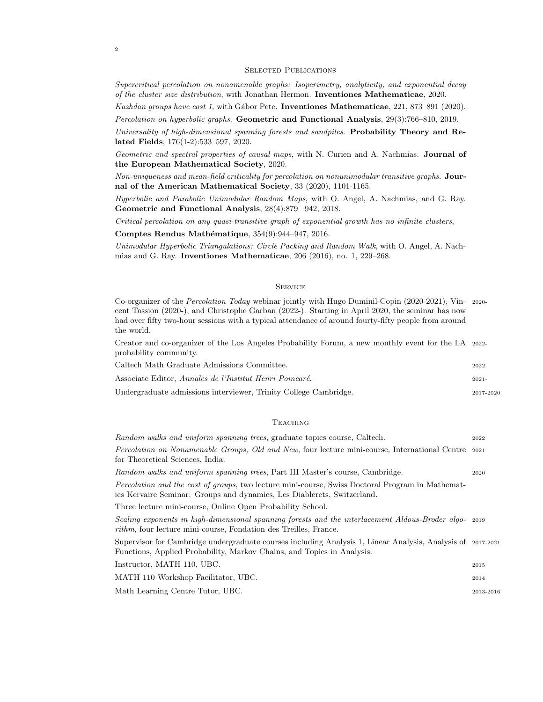#### SELECTED PUBLICATIONS

Supercritical percolation on nonamenable graphs: Isoperimetry, analyticity, and exponential decay of the cluster size distribution, with Jonathan Hermon. Inventiones Mathematicae, 2020.

Kazhdan groups have cost 1, with Gábor Pete. Inventiones Mathematicae, 221, 873-891 (2020).

Percolation on hyperbolic graphs. Geometric and Functional Analysis, 29(3):766–810, 2019.

Universality of high-dimensional spanning forests and sandpiles. Probability Theory and Related Fields, 176(1-2):533–597, 2020.

Geometric and spectral properties of causal maps, with N. Curien and A. Nachmias. Journal of the European Mathematical Society, 2020.

Non-uniqueness and mean-field criticality for percolation on nonunimodular transitive graphs. Journal of the American Mathematical Society, 33 (2020), 1101-1165.

Hyperbolic and Parabolic Unimodular Random Maps, with O. Angel, A. Nachmias, and G. Ray. Geometric and Functional Analysis, 28(4):879– 942, 2018.

Critical percolation on any quasi-transitive graph of exponential growth has no infinite clusters,

Comptes Rendus Mathématique, 354(9):944-947, 2016.

Unimodular Hyperbolic Triangulations: Circle Packing and Random Walk, with O. Angel, A. Nachmias and G. Ray. Inventiones Mathematicae, 206 (2016), no. 1, 229–268.

## **SERVICE**

Co-organizer of the Percolation Today webinar jointly with Hugo Duminil-Copin (2020-2021), Vin- 2020 cent Tassion (2020-), and Christophe Garban (2022-). Starting in April 2020, the seminar has now had over fifty two-hour sessions with a typical attendance of around fourty-fifty people from around the world.

Creator and co-organizer of the Los Angeles Probability Forum, a new monthly event for the LA 2022 probability community.

| Caltech Math Graduate Admissions Committee.                      | 2022      |
|------------------------------------------------------------------|-----------|
| Associate Editor. <i>Annales de l'Institut Henri Poincaré.</i>   | $2021 -$  |
| Undergraduate admissions interviewer, Trinity College Cambridge. | 2017-2020 |

#### **TEACHING**

| Random walks and uniform spanning trees, graduate topics course, Caltech.                                                                                                             | 2022      |
|---------------------------------------------------------------------------------------------------------------------------------------------------------------------------------------|-----------|
| <i>Percolation on Nonamenable Groups, Old and New, four lecture mini-course, International Centre</i> 2021<br>for Theoretical Sciences, India.                                        |           |
| Random walks and uniform spanning trees, Part III Master's course, Cambridge.                                                                                                         | 2020      |
| <i>Percolation and the cost of groups, two lecture mini-course, Swiss Doctoral Program in Mathemat-</i><br>ics Kervaire Seminar: Groups and dynamics, Les Diablerets, Switzerland.    |           |
| Three lecture mini-course, Online Open Probability School.                                                                                                                            |           |
| Scaling exponents in high-dimensional spanning forests and the interlacement Aldous-Broder algo- 2019<br><i>rithm</i> , four lecture mini-course, Fondation des Treilles, France.     |           |
| Supervisor for Cambridge undergraduate courses including Analysis 1, Linear Analysis, Analysis of 2017-2021<br>Functions, Applied Probability, Markov Chains, and Topics in Analysis. |           |
| Instructor, MATH 110, UBC.                                                                                                                                                            | 2015      |
| MATH 110 Workshop Facilitator, UBC.                                                                                                                                                   | 2014      |
| Math Learning Centre Tutor, UBC.                                                                                                                                                      | 2013-2016 |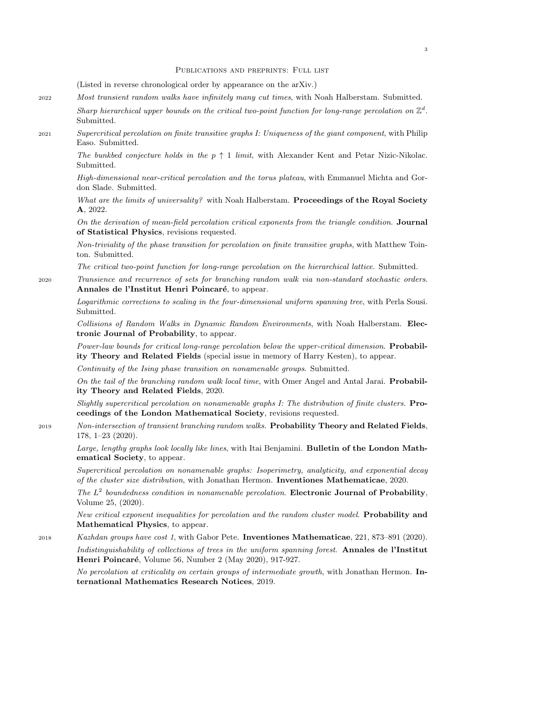#### Publications and preprints: Full list

(Listed in reverse chronological order by appearance on the arXiv.)

- <sup>2022</sup> Most transient random walks have infinitely many cut times, with Noah Halberstam. Submitted.
	- Sharp hierarchical upper bounds on the critical two-point function for long-range percolation on  $\mathbb{Z}^d$ . Submitted.
- <sup>2021</sup> Supercritical percolation on finite transitive graphs I: Uniqueness of the giant component, with Philip Easo. Submitted.

The bunkbed conjecture holds in the  $p \uparrow 1$  limit, with Alexander Kent and Petar Nizic-Nikolac. Submitted.

High-dimensional near-critical percolation and the torus plateau, with Emmanuel Michta and Gordon Slade. Submitted.

What are the limits of universality? with Noah Halberstam. Proceedings of the Royal Society A, 2022.

On the derivation of mean-field percolation critical exponents from the triangle condition. Journal of Statistical Physics, revisions requested.

Non-triviality of the phase transition for percolation on finite transitive graphs, with Matthew Tointon. Submitted.

The critical two-point function for long-range percolation on the hierarchical lattice. Submitted.

<sup>2020</sup> Transience and recurrence of sets for branching random walk via non-standard stochastic orders. Annales de l'Institut Henri Poincaré, to appear.

Logarithmic corrections to scaling in the four-dimensional uniform spanning tree, with Perla Sousi. Submitted.

Collisions of Random Walks in Dynamic Random Environments, with Noah Halberstam. Electronic Journal of Probability, to appear.

Power-law bounds for critical long-range percolation below the upper-critical dimension. Probability Theory and Related Fields (special issue in memory of Harry Kesten), to appear.

Continuity of the Ising phase transition on nonamenable groups. Submitted.

On the tail of the branching random walk local time, with Omer Angel and Antal Jarai. Probability Theory and Related Fields, 2020.

Slightly supercritical percolation on nonamenable graphs I: The distribution of finite clusters. Proceedings of the London Mathematical Society, revisions requested.

<sup>2019</sup> Non-intersection of transient branching random walks. Probability Theory and Related Fields, 178, 1–23 (2020).

Large, lengthy graphs look locally like lines, with Itai Benjamini. Bulletin of the London Mathematical Society, to appear.

Supercritical percolation on nonamenable graphs: Isoperimetry, analyticity, and exponential decay of the cluster size distribution, with Jonathan Hermon. Inventiones Mathematicae, 2020.

The  $L^2$  boundedness condition in nonamenable percolation. Electronic Journal of Probability, Volume 25, (2020).

New critical exponent inequalities for percolation and the random cluster model. Probability and Mathematical Physics, to appear.

<sup>2018</sup> Kazhdan groups have cost 1, with Gabor Pete. Inventiones Mathematicae, 221, 873–891 (2020). Indistinguishability of collections of trees in the uniform spanning forest. Annales de l'Institut Henri Poincaré, Volume 56, Number 2 (May 2020), 917-927.

No percolation at criticality on certain groups of intermediate growth, with Jonathan Hermon. International Mathematics Research Notices, 2019.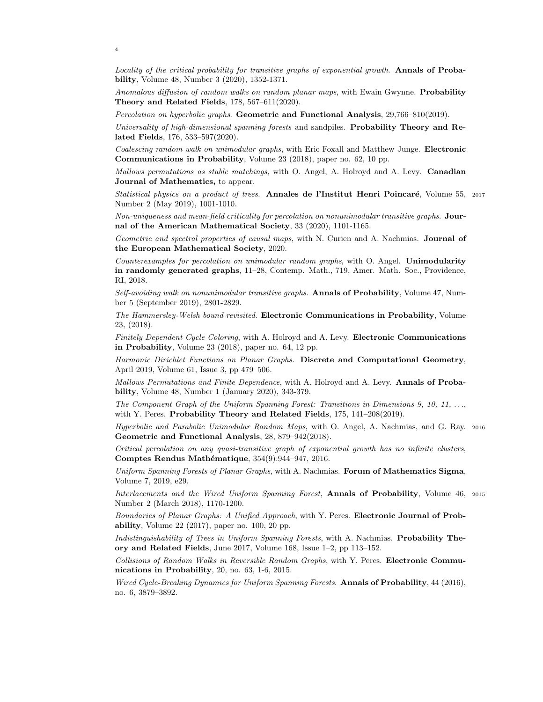4

Locality of the critical probability for transitive graphs of exponential growth. Annals of Probability, Volume 48, Number 3 (2020), 1352-1371.

Anomalous diffusion of random walks on random planar maps, with Ewain Gwynne. Probability Theory and Related Fields, 178, 567–611(2020).

Percolation on hyperbolic graphs. Geometric and Functional Analysis, 29,766–810(2019).

Universality of high-dimensional spanning forests and sandpiles. Probability Theory and Related Fields, 176, 533–597(2020).

Coalescing random walk on unimodular graphs, with Eric Foxall and Matthew Junge. **Electronic** Communications in Probability, Volume 23 (2018), paper no. 62, 10 pp.

Mallows permutations as stable matchings, with O. Angel, A. Holroyd and A. Levy. Canadian Journal of Mathematics, to appear.

Statistical physics on a product of trees. Annales de l'Institut Henri Poincaré, Volume 55, 2017 Number 2 (May 2019), 1001-1010.

Non-uniqueness and mean-field criticality for percolation on nonunimodular transitive graphs. Journal of the American Mathematical Society, 33 (2020), 1101-1165.

Geometric and spectral properties of causal maps, with N. Curien and A. Nachmias. Journal of the European Mathematical Society, 2020.

Counterexamples for percolation on unimodular random graphs, with O. Angel. Unimodularity in randomly generated graphs, 11–28, Contemp. Math., 719, Amer. Math. Soc., Providence, RI, 2018.

Self-avoiding walk on nonunimodular transitive graphs. Annals of Probability, Volume 47, Number 5 (September 2019), 2801-2829.

The Hammersley-Welsh bound revisited. Electronic Communications in Probability, Volume 23, (2018).

Finitely Dependent Cycle Coloring, with A. Holroyd and A. Levy. Electronic Communications in Probability, Volume 23 (2018), paper no. 64, 12 pp.

Harmonic Dirichlet Functions on Planar Graphs. Discrete and Computational Geometry, April 2019, Volume 61, Issue 3, pp 479–506.

Mallows Permutations and Finite Dependence, with A. Holroyd and A. Levy. Annals of Probability, Volume 48, Number 1 (January 2020), 343-379.

The Component Graph of the Uniform Spanning Forest: Transitions in Dimensions 9, 10, 11, ..., with Y. Peres. Probability Theory and Related Fields, 175, 141-208(2019).

Hyperbolic and Parabolic Unimodular Random Maps, with O. Angel, A. Nachmias, and G. Ray. <sup>2016</sup> Geometric and Functional Analysis, 28, 879–942(2018).

Critical percolation on any quasi-transitive graph of exponential growth has no infinite clusters, Comptes Rendus Mathématique, 354(9):944-947, 2016.

Uniform Spanning Forests of Planar Graphs, with A. Nachmias. Forum of Mathematics Sigma, Volume 7, 2019, e29.

Interlacements and the Wired Uniform Spanning Forest, Annals of Probability, Volume 46, <sup>2015</sup> Number 2 (March 2018), 1170-1200.

Boundaries of Planar Graphs: A Unified Approach, with Y. Peres. Electronic Journal of Probability, Volume 22 (2017), paper no. 100, 20 pp.

Indistinguishability of Trees in Uniform Spanning Forests, with A. Nachmias. **Probability The**ory and Related Fields, June 2017, Volume 168, Issue 1–2, pp 113–152.

Collisions of Random Walks in Reversible Random Graphs, with Y. Peres. Electronic Communications in Probability, 20, no. 63, 1-6, 2015.

Wired Cycle-Breaking Dynamics for Uniform Spanning Forests. Annals of Probability, 44 (2016), no. 6, 3879–3892.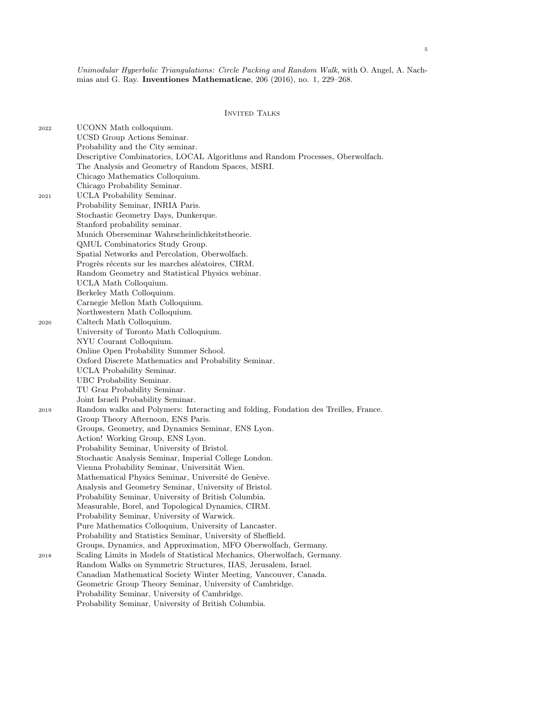Unimodular Hyperbolic Triangulations: Circle Packing and Random Walk, with O. Angel, A. Nachmias and G. Ray. Inventiones Mathematicae, 206 (2016), no. 1, 229–268.

## INVITED TALKS

| 2022 | UCONN Math colloquium.                                                              |
|------|-------------------------------------------------------------------------------------|
|      | UCSD Group Actions Seminar.                                                         |
|      | Probability and the City seminar.                                                   |
|      | Descriptive Combinatorics, LOCAL Algorithms and Random Processes, Oberwolfach.      |
|      | The Analysis and Geometry of Random Spaces, MSRI.                                   |
|      | Chicago Mathematics Colloquium.                                                     |
|      | Chicago Probability Seminar.                                                        |
| 2021 | UCLA Probability Seminar.                                                           |
|      | Probability Seminar, INRIA Paris.                                                   |
|      | Stochastic Geometry Days, Dunkerque.                                                |
|      | Stanford probability seminar.                                                       |
|      | Munich Oberseminar Wahrscheinlichkeitstheorie.                                      |
|      | QMUL Combinatorics Study Group.                                                     |
|      | Spatial Networks and Percolation, Oberwolfach.                                      |
|      | Progrès récents sur les marches aléatoires, CIRM.                                   |
|      | Random Geometry and Statistical Physics webinar.                                    |
|      | UCLA Math Colloquium.                                                               |
|      | Berkeley Math Colloquium.                                                           |
|      | Carnegie Mellon Math Colloquium.                                                    |
|      | Northwestern Math Colloquium.                                                       |
| 2020 | Caltech Math Colloquium.                                                            |
|      | University of Toronto Math Colloquium.                                              |
|      | NYU Courant Colloquium.                                                             |
|      | Online Open Probability Summer School.                                              |
|      | Oxford Discrete Mathematics and Probability Seminar.                                |
|      | UCLA Probability Seminar.                                                           |
|      | UBC Probability Seminar.<br>TU Graz Probability Seminar.                            |
|      | Joint Israeli Probability Seminar.                                                  |
| 2019 | Random walks and Polymers: Interacting and folding, Fondation des Treilles, France. |
|      | Group Theory Afternoon, ENS Paris.                                                  |
|      | Groups, Geometry, and Dynamics Seminar, ENS Lyon.                                   |
|      | Action! Working Group, ENS Lyon.                                                    |
|      | Probability Seminar, University of Bristol.                                         |
|      | Stochastic Analysis Seminar, Imperial College London.                               |
|      | Vienna Probability Seminar, Universität Wien.                                       |
|      | Mathematical Physics Seminar, Université de Genève.                                 |
|      | Analysis and Geometry Seminar, University of Bristol.                               |
|      | Probability Seminar, University of British Columbia.                                |
|      | Measurable, Borel, and Topological Dynamics, CIRM.                                  |
|      | Probability Seminar, University of Warwick.                                         |
|      | Pure Mathematics Colloquium, University of Lancaster.                               |
|      | Probability and Statistics Seminar, University of Sheffield.                        |
|      | Groups, Dynamics, and Approximation, MFO Oberwolfach, Germany.                      |
| 2018 | Scaling Limits in Models of Statistical Mechanics, Oberwolfach, Germany.            |
|      | Random Walks on Symmetric Structures, IIAS, Jerusalem, Israel.                      |
|      | Canadian Mathematical Society Winter Meeting, Vancouver, Canada.                    |
|      | Geometric Group Theory Seminar, University of Cambridge.                            |
|      | Probability Seminar, University of Cambridge.                                       |
|      | Probability Seminar, University of British Columbia.                                |